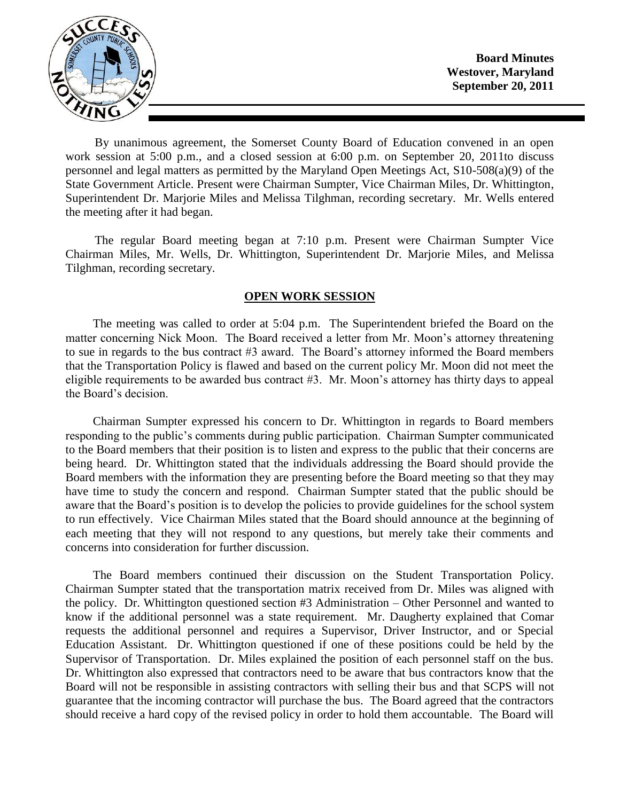

**Board Minutes Westover, Maryland September 20, 2011**

By unanimous agreement, the Somerset County Board of Education convened in an open work session at 5:00 p.m., and a closed session at 6:00 p.m. on September 20, 2011to discuss personnel and legal matters as permitted by the Maryland Open Meetings Act, S10-508(a)(9) of the State Government Article. Present were Chairman Sumpter, Vice Chairman Miles, Dr. Whittington, Superintendent Dr. Marjorie Miles and Melissa Tilghman, recording secretary. Mr. Wells entered the meeting after it had began.

The regular Board meeting began at 7:10 p.m. Present were Chairman Sumpter Vice Chairman Miles, Mr. Wells, Dr. Whittington, Superintendent Dr. Marjorie Miles, and Melissa Tilghman, recording secretary.

#### **OPEN WORK SESSION**

The meeting was called to order at 5:04 p.m. The Superintendent briefed the Board on the matter concerning Nick Moon. The Board received a letter from Mr. Moon's attorney threatening to sue in regards to the bus contract #3 award. The Board's attorney informed the Board members that the Transportation Policy is flawed and based on the current policy Mr. Moon did not meet the eligible requirements to be awarded bus contract #3. Mr. Moon's attorney has thirty days to appeal the Board's decision.

Chairman Sumpter expressed his concern to Dr. Whittington in regards to Board members responding to the public's comments during public participation. Chairman Sumpter communicated to the Board members that their position is to listen and express to the public that their concerns are being heard. Dr. Whittington stated that the individuals addressing the Board should provide the Board members with the information they are presenting before the Board meeting so that they may have time to study the concern and respond. Chairman Sumpter stated that the public should be aware that the Board's position is to develop the policies to provide guidelines for the school system to run effectively. Vice Chairman Miles stated that the Board should announce at the beginning of each meeting that they will not respond to any questions, but merely take their comments and concerns into consideration for further discussion.

The Board members continued their discussion on the Student Transportation Policy. Chairman Sumpter stated that the transportation matrix received from Dr. Miles was aligned with the policy. Dr. Whittington questioned section #3 Administration – Other Personnel and wanted to know if the additional personnel was a state requirement. Mr. Daugherty explained that Comar requests the additional personnel and requires a Supervisor, Driver Instructor, and or Special Education Assistant. Dr. Whittington questioned if one of these positions could be held by the Supervisor of Transportation. Dr. Miles explained the position of each personnel staff on the bus. Dr. Whittington also expressed that contractors need to be aware that bus contractors know that the Board will not be responsible in assisting contractors with selling their bus and that SCPS will not guarantee that the incoming contractor will purchase the bus. The Board agreed that the contractors should receive a hard copy of the revised policy in order to hold them accountable. The Board will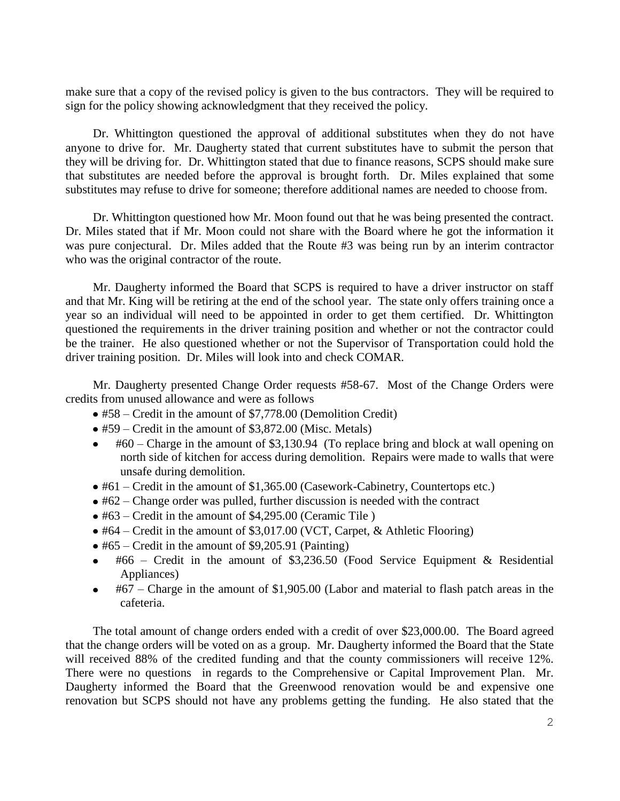make sure that a copy of the revised policy is given to the bus contractors. They will be required to sign for the policy showing acknowledgment that they received the policy.

Dr. Whittington questioned the approval of additional substitutes when they do not have anyone to drive for. Mr. Daugherty stated that current substitutes have to submit the person that they will be driving for. Dr. Whittington stated that due to finance reasons, SCPS should make sure that substitutes are needed before the approval is brought forth. Dr. Miles explained that some substitutes may refuse to drive for someone; therefore additional names are needed to choose from.

Dr. Whittington questioned how Mr. Moon found out that he was being presented the contract. Dr. Miles stated that if Mr. Moon could not share with the Board where he got the information it was pure conjectural. Dr. Miles added that the Route #3 was being run by an interim contractor who was the original contractor of the route.

Mr. Daugherty informed the Board that SCPS is required to have a driver instructor on staff and that Mr. King will be retiring at the end of the school year. The state only offers training once a year so an individual will need to be appointed in order to get them certified. Dr. Whittington questioned the requirements in the driver training position and whether or not the contractor could be the trainer. He also questioned whether or not the Supervisor of Transportation could hold the driver training position. Dr. Miles will look into and check COMAR.

Mr. Daugherty presented Change Order requests #58-67. Most of the Change Orders were credits from unused allowance and were as follows

- #58 Credit in the amount of \$7,778.00 (Demolition Credit)
- #59 Credit in the amount of \$3,872.00 (Misc. Metals)
- #60 Charge in the amount of \$3,130.94 (To replace bring and block at wall opening on north side of kitchen for access during demolition. Repairs were made to walls that were unsafe during demolition.
- #61 Credit in the amount of \$1,365.00 (Casework-Cabinetry, Countertops etc.)
- $\bullet$  #62 Change order was pulled, further discussion is needed with the contract
- #63 Credit in the amount of \$4,295.00 (Ceramic Tile )
- #64 Credit in the amount of \$3,017.00 (VCT, Carpet, & Athletic Flooring)
- $\bullet$  #65 Credit in the amount of \$9,205.91 (Painting)
- #66 Credit in the amount of \$3,236.50 (Food Service Equipment & Residential Appliances)
- #67 Charge in the amount of \$1,905.00 (Labor and material to flash patch areas in the cafeteria.

The total amount of change orders ended with a credit of over \$23,000.00. The Board agreed that the change orders will be voted on as a group. Mr. Daugherty informed the Board that the State will received 88% of the credited funding and that the county commissioners will receive 12%. There were no questions in regards to the Comprehensive or Capital Improvement Plan. Mr. Daugherty informed the Board that the Greenwood renovation would be and expensive one renovation but SCPS should not have any problems getting the funding. He also stated that the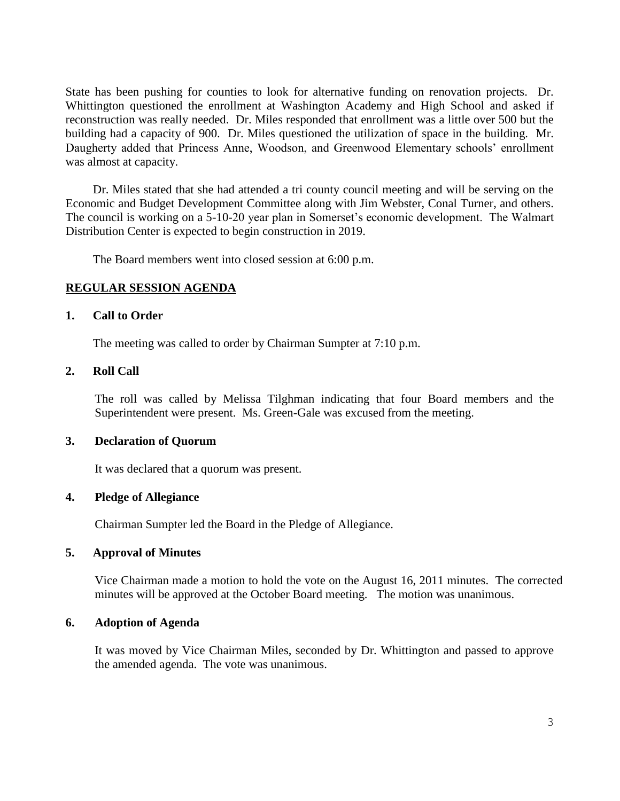State has been pushing for counties to look for alternative funding on renovation projects. Dr. Whittington questioned the enrollment at Washington Academy and High School and asked if reconstruction was really needed. Dr. Miles responded that enrollment was a little over 500 but the building had a capacity of 900. Dr. Miles questioned the utilization of space in the building. Mr. Daugherty added that Princess Anne, Woodson, and Greenwood Elementary schools' enrollment was almost at capacity.

Dr. Miles stated that she had attended a tri county council meeting and will be serving on the Economic and Budget Development Committee along with Jim Webster, Conal Turner, and others. The council is working on a 5-10-20 year plan in Somerset's economic development. The Walmart Distribution Center is expected to begin construction in 2019.

The Board members went into closed session at 6:00 p.m.

### **REGULAR SESSION AGENDA**

### **1. Call to Order**

The meeting was called to order by Chairman Sumpter at 7:10 p.m.

#### **2. Roll Call**

The roll was called by Melissa Tilghman indicating that four Board members and the Superintendent were present. Ms. Green-Gale was excused from the meeting.

## **3. Declaration of Quorum**

It was declared that a quorum was present.

### **4. Pledge of Allegiance**

Chairman Sumpter led the Board in the Pledge of Allegiance.

### **5. Approval of Minutes**

Vice Chairman made a motion to hold the vote on the August 16, 2011 minutes. The corrected minutes will be approved at the October Board meeting. The motion was unanimous.

### **6. Adoption of Agenda**

It was moved by Vice Chairman Miles, seconded by Dr. Whittington and passed to approve the amended agenda. The vote was unanimous.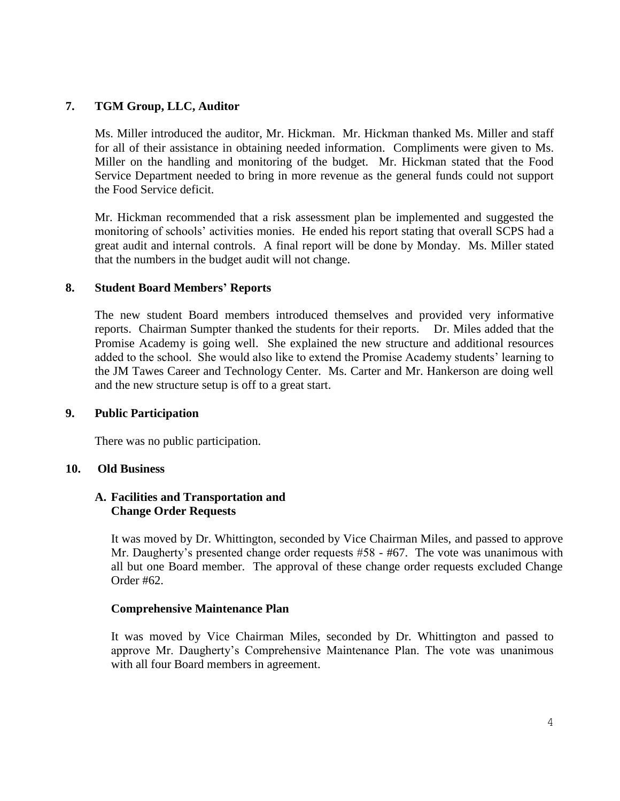# **7. TGM Group, LLC, Auditor**

Ms. Miller introduced the auditor, Mr. Hickman. Mr. Hickman thanked Ms. Miller and staff for all of their assistance in obtaining needed information. Compliments were given to Ms. Miller on the handling and monitoring of the budget. Mr. Hickman stated that the Food Service Department needed to bring in more revenue as the general funds could not support the Food Service deficit.

Mr. Hickman recommended that a risk assessment plan be implemented and suggested the monitoring of schools' activities monies. He ended his report stating that overall SCPS had a great audit and internal controls. A final report will be done by Monday. Ms. Miller stated that the numbers in the budget audit will not change.

### **8. Student Board Members' Reports**

The new student Board members introduced themselves and provided very informative reports. Chairman Sumpter thanked the students for their reports. Dr. Miles added that the Promise Academy is going well. She explained the new structure and additional resources added to the school. She would also like to extend the Promise Academy students' learning to the JM Tawes Career and Technology Center. Ms. Carter and Mr. Hankerson are doing well and the new structure setup is off to a great start.

#### **9. Public Participation**

There was no public participation.

### **10. Old Business**

### **A. Facilities and Transportation and Change Order Requests**

It was moved by Dr. Whittington, seconded by Vice Chairman Miles, and passed to approve Mr. Daugherty's presented change order requests #58 - #67. The vote was unanimous with all but one Board member. The approval of these change order requests excluded Change Order #62.

### **Comprehensive Maintenance Plan**

It was moved by Vice Chairman Miles, seconded by Dr. Whittington and passed to approve Mr. Daugherty's Comprehensive Maintenance Plan. The vote was unanimous with all four Board members in agreement.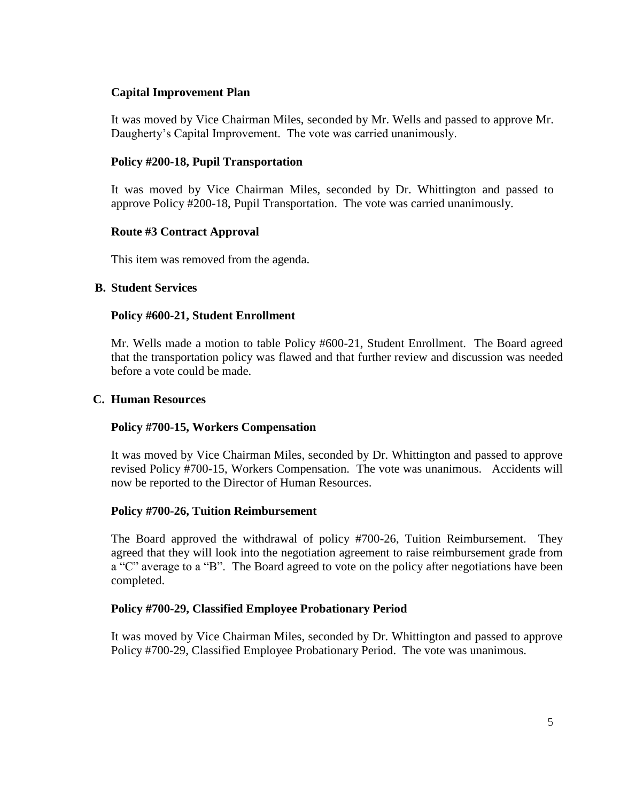# **Capital Improvement Plan**

It was moved by Vice Chairman Miles, seconded by Mr. Wells and passed to approve Mr. Daugherty's Capital Improvement. The vote was carried unanimously.

## **Policy #200-18, Pupil Transportation**

It was moved by Vice Chairman Miles, seconded by Dr. Whittington and passed to approve Policy #200-18, Pupil Transportation. The vote was carried unanimously.

### **Route #3 Contract Approval**

This item was removed from the agenda.

## **B. Student Services**

## **Policy #600-21, Student Enrollment**

Mr. Wells made a motion to table Policy #600-21, Student Enrollment. The Board agreed that the transportation policy was flawed and that further review and discussion was needed before a vote could be made.

### **C. Human Resources**

### **Policy #700-15, Workers Compensation**

It was moved by Vice Chairman Miles, seconded by Dr. Whittington and passed to approve revised Policy #700-15, Workers Compensation. The vote was unanimous. Accidents will now be reported to the Director of Human Resources.

### **Policy #700-26, Tuition Reimbursement**

The Board approved the withdrawal of policy #700-26, Tuition Reimbursement. They agreed that they will look into the negotiation agreement to raise reimbursement grade from a "C" average to a "B". The Board agreed to vote on the policy after negotiations have been completed.

### **Policy #700-29, Classified Employee Probationary Period**

It was moved by Vice Chairman Miles, seconded by Dr. Whittington and passed to approve Policy #700-29, Classified Employee Probationary Period. The vote was unanimous.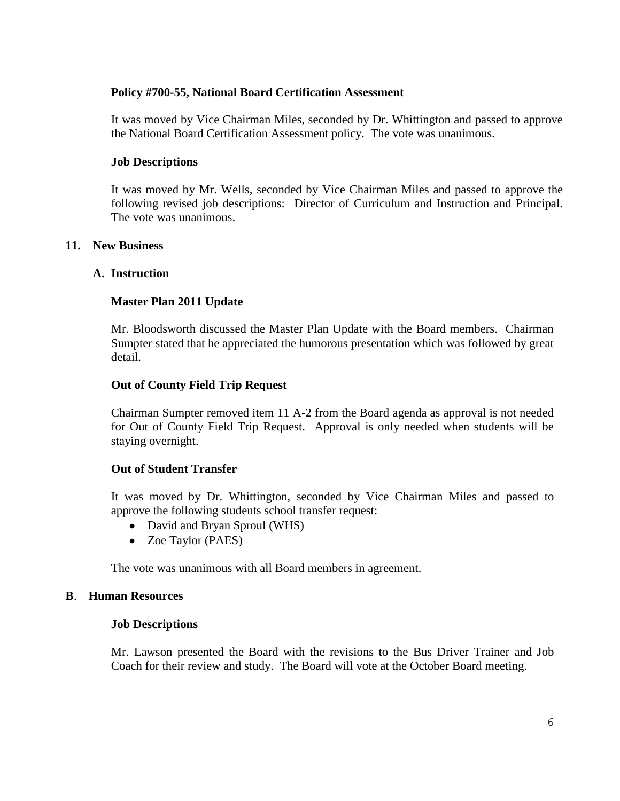### **Policy #700-55, National Board Certification Assessment**

It was moved by Vice Chairman Miles, seconded by Dr. Whittington and passed to approve the National Board Certification Assessment policy. The vote was unanimous.

## **Job Descriptions**

It was moved by Mr. Wells, seconded by Vice Chairman Miles and passed to approve the following revised job descriptions: Director of Curriculum and Instruction and Principal. The vote was unanimous.

## **11. New Business**

## **A. Instruction**

## **Master Plan 2011 Update**

Mr. Bloodsworth discussed the Master Plan Update with the Board members. Chairman Sumpter stated that he appreciated the humorous presentation which was followed by great detail.

## **Out of County Field Trip Request**

Chairman Sumpter removed item 11 A-2 from the Board agenda as approval is not needed for Out of County Field Trip Request. Approval is only needed when students will be staying overnight.

### **Out of Student Transfer**

It was moved by Dr. Whittington, seconded by Vice Chairman Miles and passed to approve the following students school transfer request:

- David and Bryan Sproul (WHS)
- Zoe Taylor (PAES)

The vote was unanimous with all Board members in agreement.

### **B**. **Human Resources**

### **Job Descriptions**

Mr. Lawson presented the Board with the revisions to the Bus Driver Trainer and Job Coach for their review and study. The Board will vote at the October Board meeting.